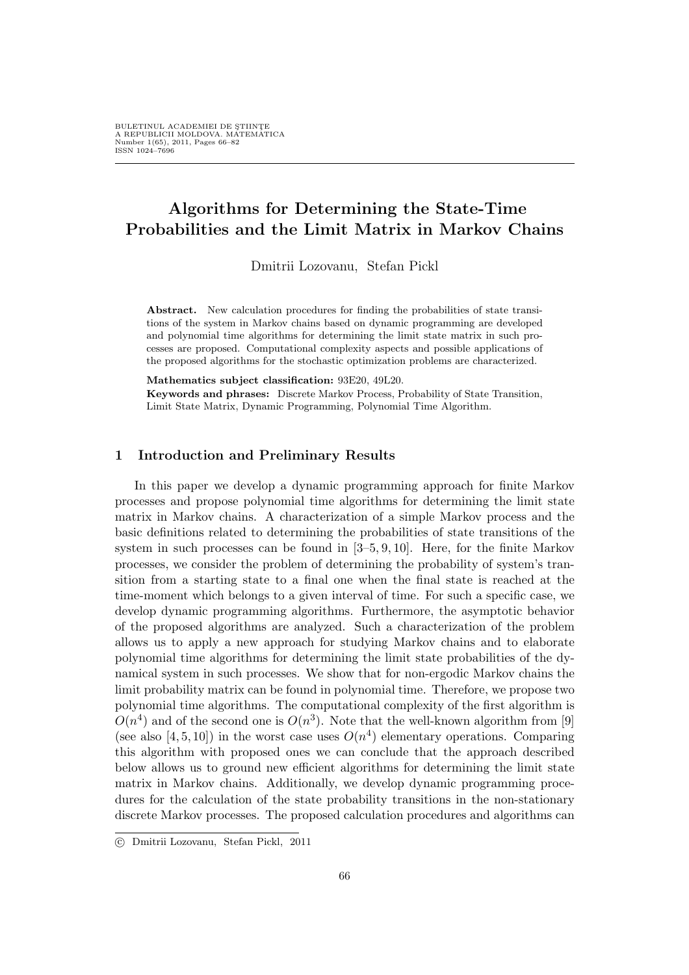# Algorithms for Determining the State-Time Probabilities and the Limit Matrix in Markov Chains

Dmitrii Lozovanu, Stefan Pickl

Abstract. New calculation procedures for finding the probabilities of state transitions of the system in Markov chains based on dynamic programming are developed and polynomial time algorithms for determining the limit state matrix in such processes are proposed. Computational complexity aspects and possible applications of the proposed algorithms for the stochastic optimization problems are characterized.

Mathematics subject classification: 93E20, 49L20.

Keywords and phrases: Discrete Markov Process, Probability of State Transition, Limit State Matrix, Dynamic Programming, Polynomial Time Algorithm.

### 1 Introduction and Preliminary Results

In this paper we develop a dynamic programming approach for finite Markov processes and propose polynomial time algorithms for determining the limit state matrix in Markov chains. A characterization of a simple Markov process and the basic definitions related to determining the probabilities of state transitions of the system in such processes can be found in [3–5, 9, 10]. Here, for the finite Markov processes, we consider the problem of determining the probability of system's transition from a starting state to a final one when the final state is reached at the time-moment which belongs to a given interval of time. For such a specific case, we develop dynamic programming algorithms. Furthermore, the asymptotic behavior of the proposed algorithms are analyzed. Such a characterization of the problem allows us to apply a new approach for studying Markov chains and to elaborate polynomial time algorithms for determining the limit state probabilities of the dynamical system in such processes. We show that for non-ergodic Markov chains the limit probability matrix can be found in polynomial time. Therefore, we propose two polynomial time algorithms. The computational complexity of the first algorithm is  $O(n^4)$  and of the second one is  $O(n^3)$ . Note that the well-known algorithm from [9] (see also [4, 5, 10]) in the worst case uses  $O(n^4)$  elementary operations. Comparing this algorithm with proposed ones we can conclude that the approach described below allows us to ground new efficient algorithms for determining the limit state matrix in Markov chains. Additionally, we develop dynamic programming procedures for the calculation of the state probability transitions in the non-stationary discrete Markov processes. The proposed calculation procedures and algorithms can

<sup>°</sup>c Dmitrii Lozovanu, Stefan Pickl, 2011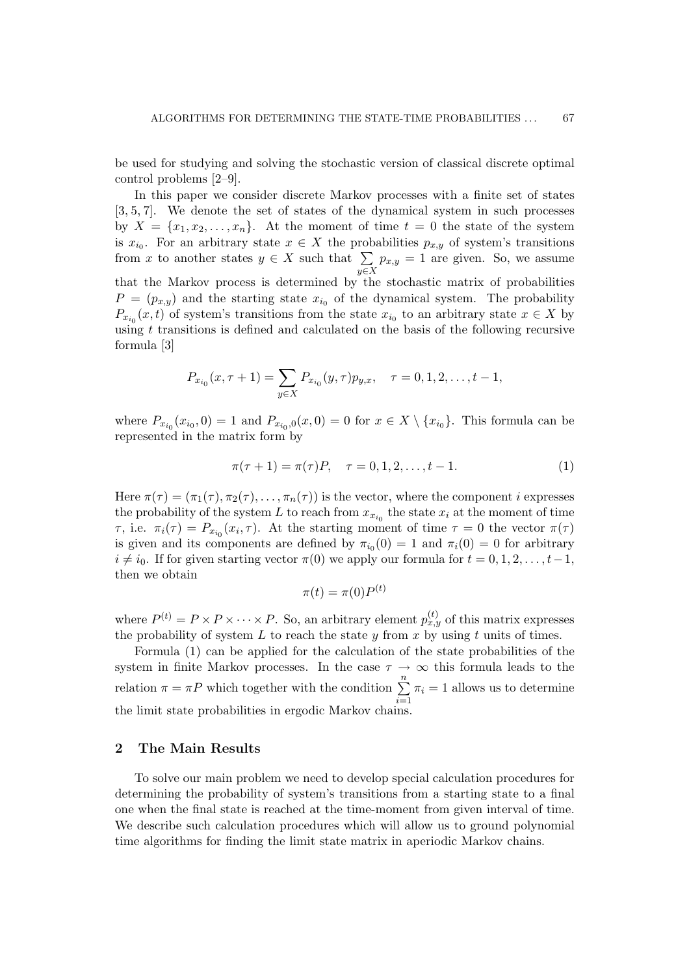be used for studying and solving the stochastic version of classical discrete optimal control problems [2–9].

In this paper we consider discrete Markov processes with a finite set of states [3, 5, 7]. We denote the set of states of the dynamical system in such processes by  $X = \{x_1, x_2, \ldots, x_n\}$ . At the moment of time  $t = 0$  the state of the system is  $x_{i_0}$ . For an arbitrary state  $x \in X$  the probabilities  $p_{x,y}$  of system's transitions is  $x_{i_0}$ . For an arbitrary state  $x \in X$  the proton  $x$  to another states  $y \in X$  such that  $\sum$  $y \in X$  $p_{x,y} = 1$  are given. So, we assume that the Markov process is determined by the stochastic matrix of probabilities  $P = (p_{x,y})$  and the starting state  $x_{i_0}$  of the dynamical system. The probability  $P_{x_{i_0}}(x,t)$  of system's transitions from the state  $x_{i_0}$  to an arbitrary state  $x \in X$  by using  $t$  transitions is defined and calculated on the basis of the following recursive formula [3]

$$
P_{x_{i_0}}(x,\tau+1) = \sum_{y \in X} P_{x_{i_0}}(y,\tau) p_{y,x}, \quad \tau = 0, 1, 2, \dots, t-1,
$$

where  $P_{x_{i_0}}(x_{i_0},0) = 1$  and  $P_{x_{i_0},0}(x,0) = 0$  for  $x \in X \setminus \{x_{i_0}\}.$  This formula can be represented in the matrix form by

$$
\pi(\tau + 1) = \pi(\tau)P, \quad \tau = 0, 1, 2, \dots, t - 1.
$$
 (1)

Here  $\pi(\tau) = (\pi_1(\tau), \pi_2(\tau), \ldots, \pi_n(\tau))$  is the vector, where the component *i* expresses the probability of the system L to reach from  $x_{x_{i_0}}$  the state  $x_i$  at the moment of time τ, i.e.  $\pi_i(\tau) = P_{x_{i_0}}(x_i, \tau)$ . At the starting moment of time  $\tau = 0$  the vector  $\pi(\tau)$ is given and its components are defined by  $\pi_{i_0}(0) = 1$  and  $\pi_i(0) = 0$  for arbitrary  $i \neq i_0$ . If for given starting vector  $\pi(0)$  we apply our formula for  $t = 0, 1, 2, \ldots, t-1$ , then we obtain

$$
\pi(t) = \pi(0)P^{(t)}
$$

where  $P^{(t)} = P \times P \times \cdots \times P$ . So, an arbitrary element  $p_{x,y}^{(t)}$  of this matrix expresses the probability of system  $L$  to reach the state  $y$  from  $x$  by using  $t$  units of times.

Formula (1) can be applied for the calculation of the state probabilities of the system in finite Markov processes. In the case  $\tau \to \infty$  this formula leads to the relation  $\pi = \pi P$  which together with the condition  $\sum_{n=1}^{\infty}$  $i=1$  $\pi_i = 1$  allows us to determine the limit state probabilities in ergodic Markov chains.

### 2 The Main Results

To solve our main problem we need to develop special calculation procedures for determining the probability of system's transitions from a starting state to a final one when the final state is reached at the time-moment from given interval of time. We describe such calculation procedures which will allow us to ground polynomial time algorithms for finding the limit state matrix in aperiodic Markov chains.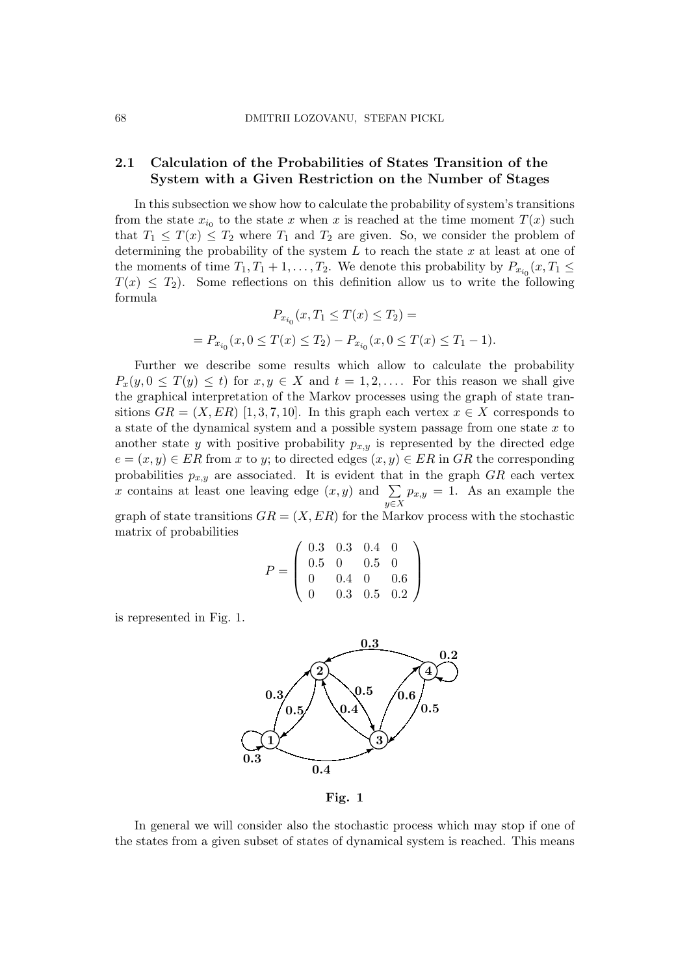# 2.1 Calculation of the Probabilities of States Transition of the System with a Given Restriction on the Number of Stages

In this subsection we show how to calculate the probability of system's transitions from the state  $x_{i_0}$  to the state x when x is reached at the time moment  $T(x)$  such that  $T_1 \leq T(x) \leq T_2$  where  $T_1$  and  $T_2$  are given. So, we consider the problem of determining the probability of the system  $L$  to reach the state  $x$  at least at one of the moments of time  $T_1, T_1 + 1, \ldots, T_2$ . We denote this probability by  $P_{x_{i_0}}(x, T_1 \leq$  $T(x) \leq T_2$ ). Some reflections on this definition allow us to write the following formula

$$
P_{x_{i_0}}(x, T_1 \le T(x) \le T_2) =
$$
  
= 
$$
P_{x_{i_0}}(x, 0 \le T(x) \le T_2) - P_{x_{i_0}}(x, 0 \le T(x) \le T_1 - 1).
$$

Further we describe some results which allow to calculate the probability  $P_x(y, 0 \leq T(y) \leq t)$  for  $x, y \in X$  and  $t = 1, 2, \ldots$  For this reason we shall give the graphical interpretation of the Markov processes using the graph of state transitions  $GR = (X, ER) [1, 3, 7, 10]$ . In this graph each vertex  $x \in X$  corresponds to a state of the dynamical system and a possible system passage from one state  $x$  to another state y with positive probability  $p_{x,y}$  is represented by the directed edge  $e = (x, y) \in ER$  from x to y; to directed edges  $(x, y) \in ER$  in GR the corresponding probabilities  $p_{x,y}$  are associated. It is evident that in the graph  $GR$  each vertex probabilities  $p_{x,y}$  are associated. It is evident that <br>x contains at least one leaving edge  $(x, y)$  and  $\sum$  $y \in X$  $p_{x,y} = 1$ . As an example the

graph of state transitions  $GR = (X, ER)$  for the Markov process with the stochastic matrix of probabilities  $\overline{\phantom{a}}$  $\mathbf{r}$ 

$$
P = \left(\begin{array}{cccc} 0.3 & 0.3 & 0.4 & 0 \\ 0.5 & 0 & 0.5 & 0 \\ 0 & 0.4 & 0 & 0.6 \\ 0 & 0.3 & 0.5 & 0.2 \end{array}\right)
$$

is represented in Fig. 1.



Fig. 1

In general we will consider also the stochastic process which may stop if one of the states from a given subset of states of dynamical system is reached. This means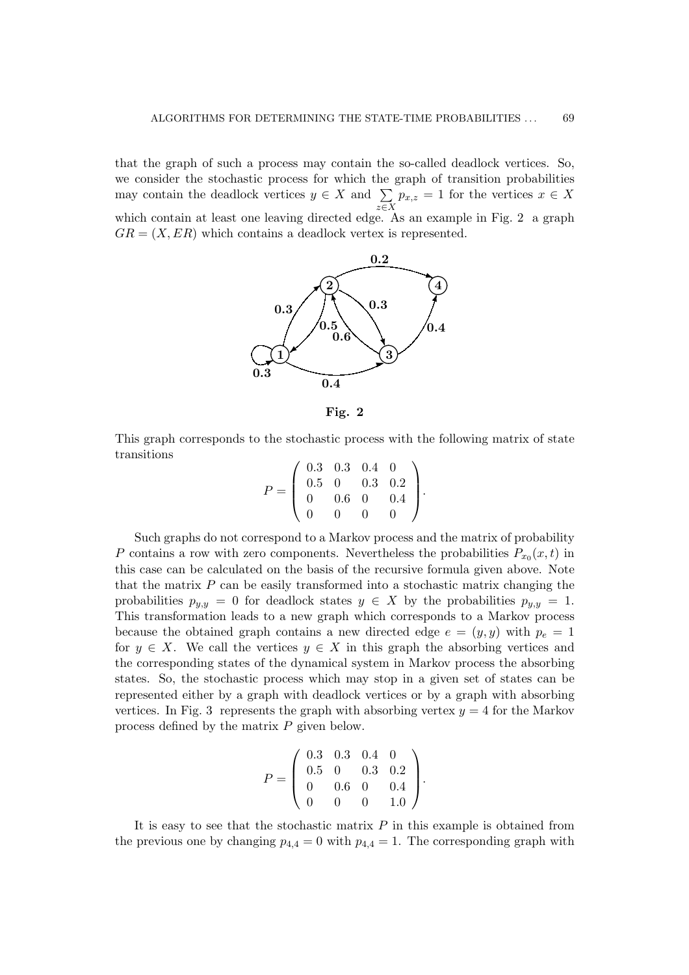that the graph of such a process may contain the so-called deadlock vertices. So, we consider the stochastic process for which the graph of transition probabilities may contain the stochastic process for which the may contain the deadlock vertices  $y \in X$  and  $\sum$ z∈X  $p_{x,z} = 1$  for the vertices  $x \in X$ which contain at least one leaving directed edge. As an example in Fig. 2 a graph  $GR = (X, ER)$  which contains a deadlock vertex is represented.



Fig. 2

This graph corresponds to the stochastic process with the following matrix of state transitions  $\overline{1}$  $\mathbf{r}$ 

|  | $\begin{array}{cccc} 0.3 & 0.3 & 0.4 & 6 \\ 0.5 & 0 & 0.3 & 0.2 \\ 0.6 & 0 & 0.4 & 1 \end{array}$ |                   |  |  |
|--|---------------------------------------------------------------------------------------------------|-------------------|--|--|
|  |                                                                                                   |                   |  |  |
|  |                                                                                                   | $\mathbf{\Omega}$ |  |  |

Such graphs do not correspond to a Markov process and the matrix of probability P contains a row with zero components. Nevertheless the probabilities  $P_{x_0}(x,t)$  in this case can be calculated on the basis of the recursive formula given above. Note that the matrix  $P$  can be easily transformed into a stochastic matrix changing the probabilities  $p_{y,y} = 0$  for deadlock states  $y \in X$  by the probabilities  $p_{y,y} = 1$ . This transformation leads to a new graph which corresponds to a Markov process because the obtained graph contains a new directed edge  $e = (y, y)$  with  $p_e = 1$ for  $y \in X$ . We call the vertices  $y \in X$  in this graph the absorbing vertices and the corresponding states of the dynamical system in Markov process the absorbing states. So, the stochastic process which may stop in a given set of states can be represented either by a graph with deadlock vertices or by a graph with absorbing vertices. In Fig. 3 represents the graph with absorbing vertex  $y = 4$  for the Markov process defined by the matrix P given below.

$$
P = \left(\begin{array}{cccc} 0.3 & 0.3 & 0.4 & 0 \\ 0.5 & 0 & 0.3 & 0.2 \\ 0 & 0.6 & 0 & 0.4 \\ 0 & 0 & 0 & 1.0 \end{array}\right).
$$

It is easy to see that the stochastic matrix  $P$  in this example is obtained from the previous one by changing  $p_{4,4} = 0$  with  $p_{4,4} = 1$ . The corresponding graph with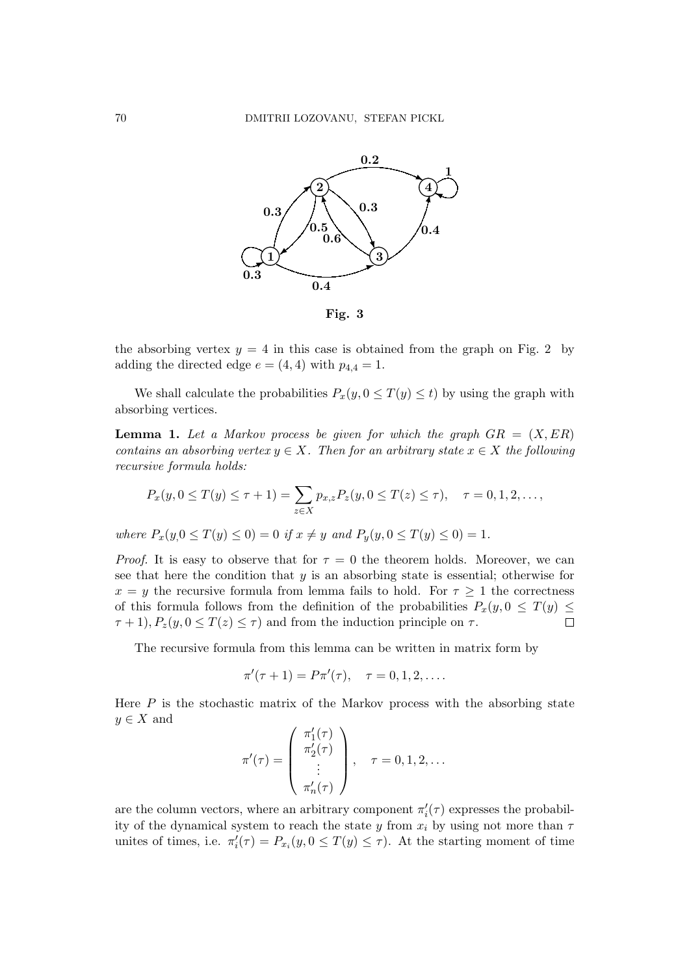

the absorbing vertex  $y = 4$  in this case is obtained from the graph on Fig. 2 by adding the directed edge  $e = (4, 4)$  with  $p_{4,4} = 1$ .

We shall calculate the probabilities  $P_x(y, 0 \leq T(y) \leq t)$  by using the graph with absorbing vertices.

**Lemma 1.** Let a Markov process be given for which the graph  $GR = (X, ER)$ contains an absorbing vertex  $y \in X$ . Then for an arbitrary state  $x \in X$  the following recursive formula holds:

$$
P_x(y, 0 \le T(y) \le \tau + 1) = \sum_{z \in X} p_{x,z} P_z(y, 0 \le T(z) \le \tau), \quad \tau = 0, 1, 2, \ldots,
$$

where  $P_x(y, 0 \le T(y) \le 0) = 0$  if  $x \ne y$  and  $P_y(y, 0 \le T(y) \le 0) = 1$ .

*Proof.* It is easy to observe that for  $\tau = 0$  the theorem holds. Moreover, we can see that here the condition that  $y$  is an absorbing state is essential; otherwise for  $x = y$  the recursive formula from lemma fails to hold. For  $\tau > 1$  the correctness of this formula follows from the definition of the probabilities  $P_x(y, 0 \leq T(y) \leq$  $\tau + 1$ ,  $P_z(y, 0 \leq T(z) \leq \tau)$  and from the induction principle on  $\tau$ .  $\Box$ 

The recursive formula from this lemma can be written in matrix form by

$$
\pi'(\tau + 1) = P\pi'(\tau), \quad \tau = 0, 1, 2, \dots
$$

Here  $P$  is the stochastic matrix of the Markov process with the absorbing state  $y \in X$  and  $\overline{1}$  $\mathbf{r}$ 

$$
\pi'(\tau) = \begin{pmatrix} \pi'_1(\tau) \\ \pi'_2(\tau) \\ \vdots \\ \pi'_n(\tau) \end{pmatrix}, \quad \tau = 0, 1, 2, \dots
$$

are the column vectors, where an arbitrary component  $\pi'_i(\tau)$  expresses the probability of the dynamical system to reach the state y from  $x_i$  by using not more than  $\tau$ unites of times, i.e.  $\pi'_i(\tau) = P_{x_i}(y, 0 \leq T(y) \leq \tau)$ . At the starting moment of time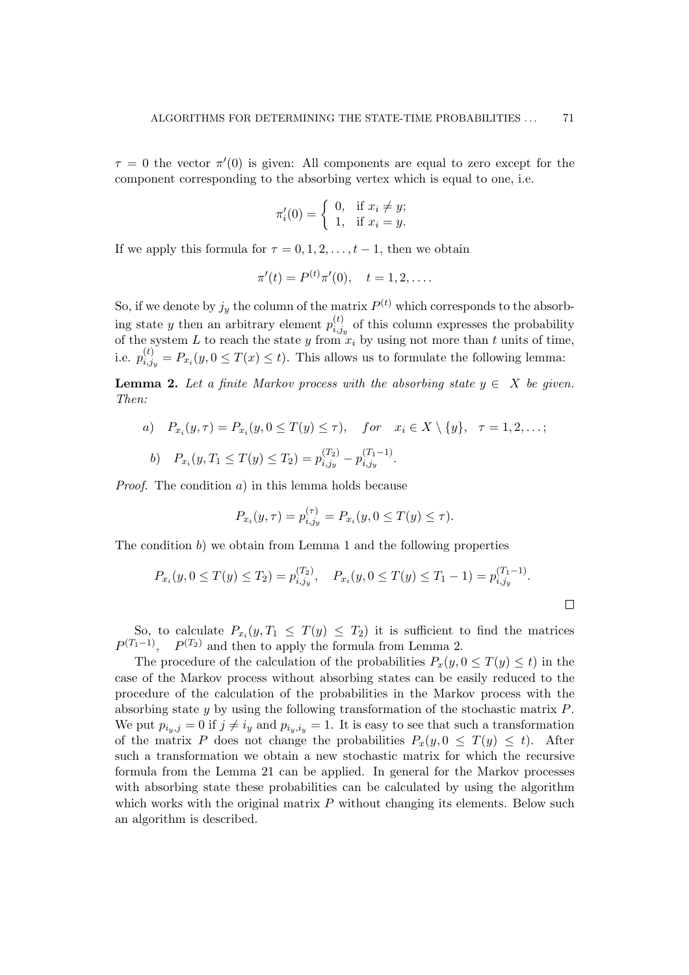$\tau = 0$  the vector  $\pi'(0)$  is given: All components are equal to zero except for the component corresponding to the absorbing vertex which is equal to one, i.e.

$$
\pi'_i(0) = \begin{cases} 0, & \text{if } x_i \neq y; \\ 1, & \text{if } x_i = y. \end{cases}
$$

If we apply this formula for  $\tau = 0, 1, 2, \ldots, t - 1$ , then we obtain

$$
\pi'(t) = P^{(t)}\pi'(0), \quad t = 1, 2, \dots.
$$

So, if we denote by  $j_y$  the column of the matrix  $P^{(t)}$  which corresponds to the absorbing state y then an arbitrary element  $p_{i,i}^{(t)}$  $i,j_{i,jy}^{(t)}$  of this column expresses the probability of the system L to reach the state y from  $x_i$  by using not more than t units of time, i.e.  $p_{i,i}^{(t)}$  $i_{i,j_y}^{(t)} = P_{x_i}(y, 0 \leq T(x) \leq t)$ . This allows us to formulate the following lemma:

**Lemma 2.** Let a finite Markov process with the absorbing state  $y \in X$  be given. Then:

a) 
$$
P_{x_i}(y, \tau) = P_{x_i}(y, 0 \le T(y) \le \tau)
$$
, for  $x_i \in X \setminus \{y\}$ ,  $\tau = 1, 2, ...$ ;  
b)  $P_{x_i}(y, T_1 \le T(y) \le T_2) = p_{i, j_y}^{(T_2)} - p_{i, j_y}^{(T_1 - 1)}$ .

*Proof.* The condition  $a$ ) in this lemma holds because

$$
P_{x_i}(y,\tau) = p_{i,j_y}^{(\tau)} = P_{x_i}(y, 0 \le T(y) \le \tau).
$$

The condition b) we obtain from Lemma 1 and the following properties

$$
P_{x_i}(y, 0 \le T(y) \le T_2) = p_{i,j_y}^{(T_2)}, \quad P_{x_i}(y, 0 \le T(y) \le T_1 - 1) = p_{i,j_y}^{(T_1 - 1)}.
$$

So, to calculate  $P_{x_i}(y,T_1 \leq T(y) \leq T_2)$  it is sufficient to find the matrices  $P^{(T_1-1)}$ ,  $P^{(T_2)}$  and then to apply the formula from Lemma 2.

The procedure of the calculation of the probabilities  $P_x(y, 0 \leq T(y) \leq t)$  in the case of the Markov process without absorbing states can be easily reduced to the procedure of the calculation of the probabilities in the Markov process with the absorbing state y by using the following transformation of the stochastic matrix P. We put  $p_{i_y,j} = 0$  if  $j \neq i_y$  and  $p_{i_y,i_y} = 1$ . It is easy to see that such a transformation of the matrix P does not change the probabilities  $P_x(y, 0 \leq T(y) \leq t)$ . After such a transformation we obtain a new stochastic matrix for which the recursive formula from the Lemma 21 can be applied. In general for the Markov processes with absorbing state these probabilities can be calculated by using the algorithm which works with the original matrix  $P$  without changing its elements. Below such an algorithm is described.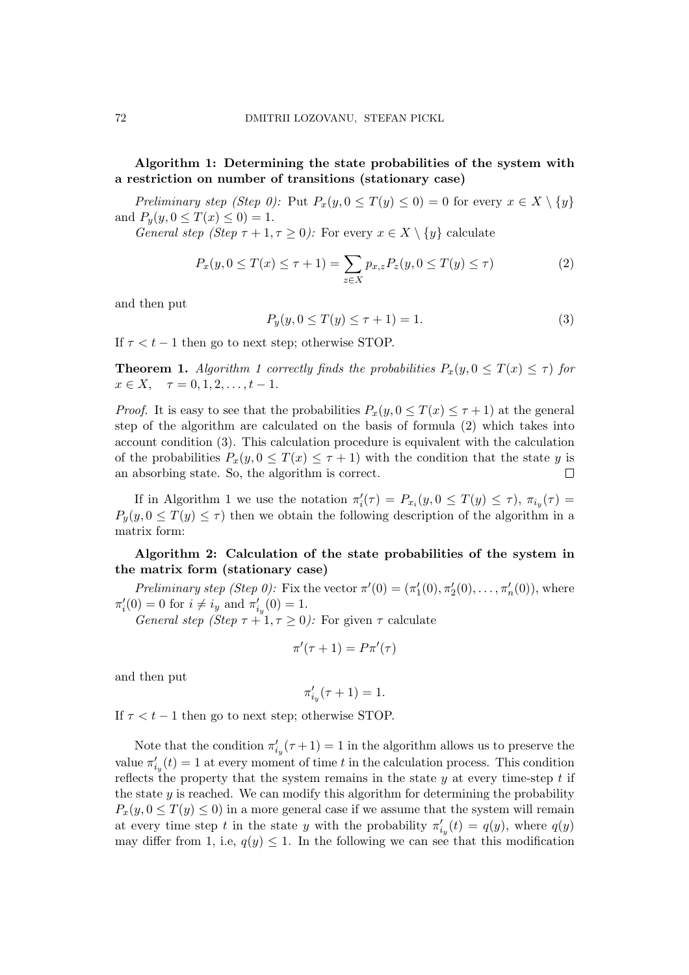# Algorithm 1: Determining the state probabilities of the system with a restriction on number of transitions (stationary case)

Preliminary step (Step 0): Put  $P_x(y, 0 \leq T(y) \leq 0) = 0$  for every  $x \in X \setminus \{y\}$ and  $P_y(y, 0 \le T(x) \le 0) = 1$ .

General step (Step  $\tau + 1, \tau \geq 0$ ): For every  $x \in X \setminus \{y\}$  calculate

$$
P_x(y, 0 \le T(x) \le \tau + 1) = \sum_{z \in X} p_{x,z} P_z(y, 0 \le T(y) \le \tau)
$$
 (2)

and then put

$$
P_y(y, 0 \le T(y) \le \tau + 1) = 1.
$$
\n(3)

If  $\tau < t - 1$  then go to next step; otherwise STOP.

**Theorem 1.** Algorithm 1 correctly finds the probabilities  $P_x(y, 0 \leq T(x) \leq \tau)$  for  $x \in X$ ,  $\tau = 0, 1, 2, \ldots, t - 1$ .

*Proof.* It is easy to see that the probabilities  $P_x(y, 0 \le T(x) \le \tau + 1)$  at the general step of the algorithm are calculated on the basis of formula (2) which takes into account condition (3). This calculation procedure is equivalent with the calculation of the probabilities  $P_x(y, 0 \leq T(x) \leq \tau + 1)$  with the condition that the state y is an absorbing state. So, the algorithm is correct.  $\Box$ 

If in Algorithm 1 we use the notation  $\pi'_i(\tau) = P_{x_i}(y, 0 \leq T(y) \leq \tau)$ ,  $\pi_{i_y}(\tau) =$  $P_y(y, 0 \leq T(y) \leq \tau)$  then we obtain the following description of the algorithm in a matrix form:

# Algorithm 2: Calculation of the state probabilities of the system in the matrix form (stationary case)

Preliminary step (Step 0): Fix the vector  $\pi'(0) = (\pi'_1(0), \pi'_2(0), \ldots, \pi'_n(0))$ , where  $\pi'_i(0) = 0$  for  $i \neq i_y$  and  $\pi'_{i_y}(0) = 1$ .

General step (Step  $\tau + 1, \tau \geq 0$ ): For given  $\tau$  calculate

$$
\pi'(\tau+1) = P\pi'(\tau)
$$

and then put

$$
\pi'_{i_y}(\tau + 1) = 1.
$$

If  $\tau < t - 1$  then go to next step; otherwise STOP.

Note that the condition  $\pi'_{i_y}(\tau+1) = 1$  in the algorithm allows us to preserve the value  $\pi'_{i_y}(t) = 1$  at every moment of time t in the calculation process. This condition reflects the property that the system remains in the state  $y$  at every time-step  $t$  if the state  $y$  is reached. We can modify this algorithm for determining the probability  $P_x(y, 0 \leq T(y) \leq 0)$  in a more general case if we assume that the system will remain at every time step t in the state y with the probability  $\pi'_{i_y}(t) = q(y)$ , where  $q(y)$ may differ from 1, i.e,  $q(y) \leq 1$ . In the following we can see that this modification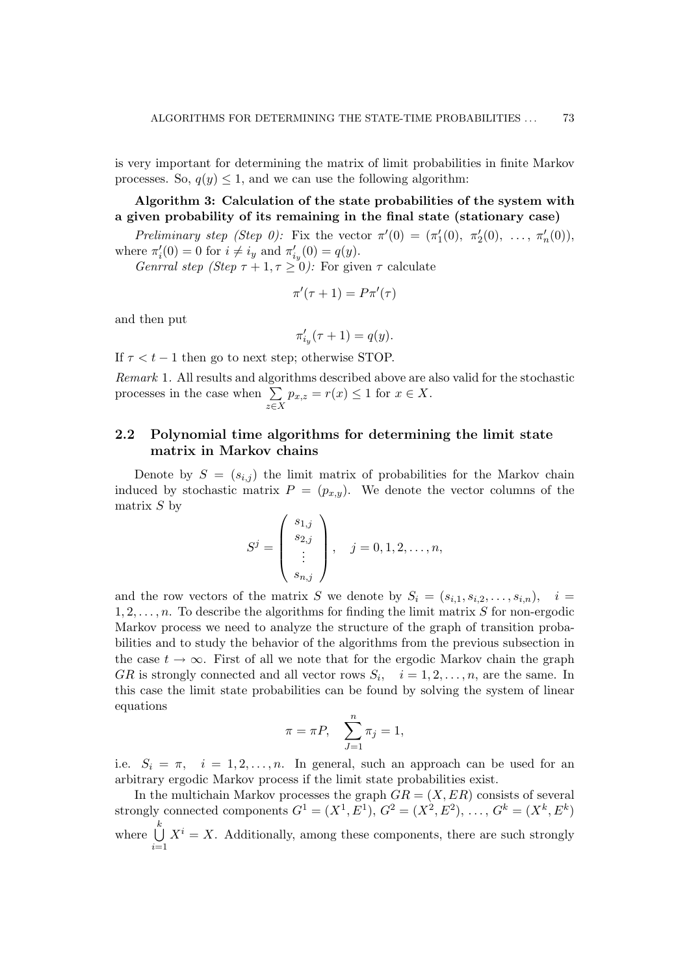is very important for determining the matrix of limit probabilities in finite Markov processes. So,  $q(y) \leq 1$ , and we can use the following algorithm:

Algorithm 3: Calculation of the state probabilities of the system with a given probability of its remaining in the final state (stationary case)

Preliminary step (Step 0): Fix the vector  $\pi'(0) = (\pi'_1(0), \pi'_2(0), \ldots, \pi'_n(0)),$ where  $\pi'_i(0) = 0$  for  $i \neq i_y$  and  $\pi'_{i_y}(0) = q(y)$ .

Genrral step (Step  $\tau + 1, \tau \geq 0$ ): For given  $\tau$  calculate

$$
\pi'(\tau+1) = P\pi'(\tau)
$$

and then put

$$
\pi'_{i_y}(\tau+1) = q(y).
$$

If  $\tau < t - 1$  then go to next step; otherwise STOP.

Remark 1. All results and algorithms described above are also valid for the stochastic  $n_{\text{emark}}$  i. An results and algoring processes in the case when  $\Sigma$ z∈X  $p_{x,z} = r(x) \leq 1$  for  $x \in X$ .

# 2.2 Polynomial time algorithms for determining the limit state matrix in Markov chains

Denote by  $S = (s_{i,j})$  the limit matrix of probabilities for the Markov chain induced by stochastic matrix  $P = (p_{x,y})$ . We denote the vector columns of the matrix  $S$  by  $\overline{1}$  $\mathbf{r}$ 

$$
S^{j} = \begin{pmatrix} s_{1,j} \\ s_{2,j} \\ \vdots \\ s_{n,j} \end{pmatrix}, \quad j = 0, 1, 2, \dots, n,
$$

and the row vectors of the matrix S we denote by  $S_i = (s_{i,1}, s_{i,2}, \ldots, s_{i,n}), \quad i =$  $1, 2, \ldots, n$ . To describe the algorithms for finding the limit matrix S for non-ergodic Markov process we need to analyze the structure of the graph of transition probabilities and to study the behavior of the algorithms from the previous subsection in the case  $t \to \infty$ . First of all we note that for the ergodic Markov chain the graph GR is strongly connected and all vector rows  $S_i$ ,  $i = 1, 2, ..., n$ , are the same. In this case the limit state probabilities can be found by solving the system of linear equations

$$
\pi = \pi P, \quad \sum_{J=1}^{n} \pi_j = 1,
$$

i.e.  $S_i = \pi$ ,  $i = 1, 2, ..., n$ . In general, such an approach can be used for an arbitrary ergodic Markov process if the limit state probabilities exist.

In the multichain Markov processes the graph  $GR = (X, ER)$  consists of several strongly connected components  $G^1 = (X^1, E^1), G^2 = (X^2, E^2), \ldots, G^k = (X^k, E^k)$ where  $\bigcup^k$  $i=1$  $X^{i} = X$ . Additionally, among these components, there are such strongly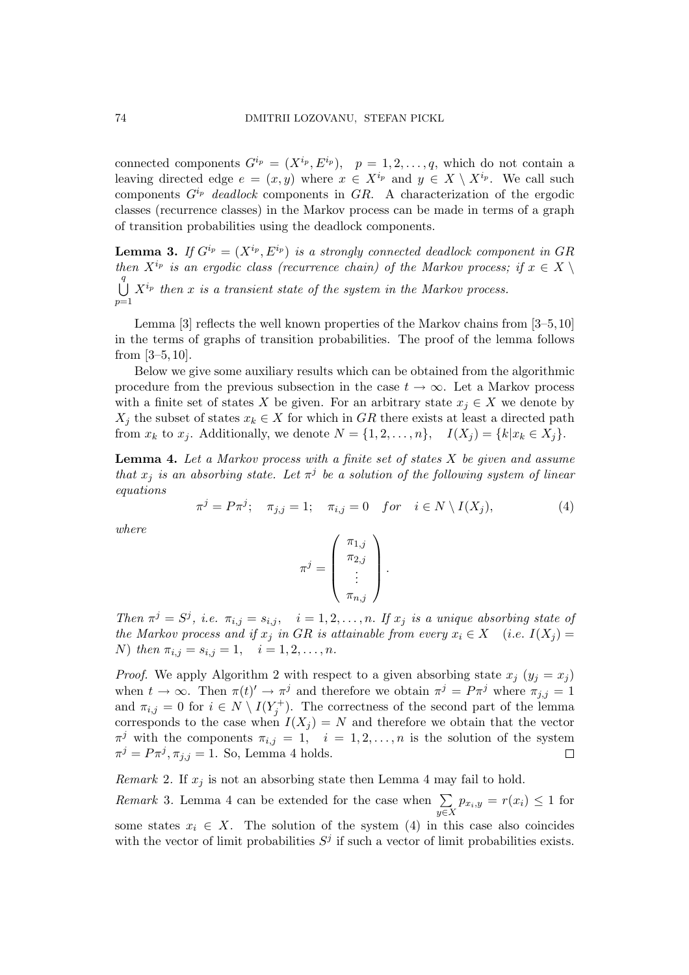connected components  $G^{i_p} = (X^{i_p}, E^{i_p}), p = 1, 2, ..., q$ , which do not contain a leaving directed edge  $e = (x, y)$  where  $x \in X^{i_p}$  and  $y \in X \setminus X^{i_p}$ . We call such components  $G^{i_p}$  deadlock components in GR. A characterization of the ergodic classes (recurrence classes) in the Markov process can be made in terms of a graph of transition probabilities using the deadlock components.

**Lemma 3.** If  $G^{i_p} = (X^{i_p}, E^{i_p})$  is a strongly connected deadlock component in GR then  $X^{i_p}$  is an ergodic class (recurrence chain) of the Markov process; if  $x \in X \setminus$  $\bigcup_{i=1}^{q} X^{i_p}$  then x is a transient state of the system in the Markov process.  $p=1$ 

Lemma [3] reflects the well known properties of the Markov chains from [3–5,10] in the terms of graphs of transition probabilities. The proof of the lemma follows from [3–5, 10].

Below we give some auxiliary results which can be obtained from the algorithmic procedure from the previous subsection in the case  $t \to \infty$ . Let a Markov process with a finite set of states X be given. For an arbitrary state  $x_i \in X$  we denote by  $X_j$  the subset of states  $x_k \in X$  for which in GR there exists at least a directed path from  $x_k$  to  $x_j$ . Additionally, we denote  $N = \{1, 2, \ldots, n\}$ ,  $I(X_j) = \{k | x_k \in X_j\}$ .

**Lemma 4.** Let a Markov process with a finite set of states  $X$  be given and assume that  $x_j$  is an absorbing state. Let  $\pi^j$  be a solution of the following system of linear equations

$$
\pi^{j} = P\pi^{j}; \quad \pi_{j,j} = 1; \quad \pi_{i,j} = 0 \quad \text{for} \quad i \in N \setminus I(X_j), \tag{4}
$$

where

$$
\pi^j = \left(\begin{array}{c} \pi_{1,j} \\ \pi_{2,j} \\ \vdots \\ \pi_{n,j} \end{array}\right).
$$

Then  $\pi^{j} = S^{j}$ , i.e.  $\pi_{i,j} = s_{i,j}$ ,  $i = 1, 2, ..., n$ . If  $x_{j}$  is a unique absorbing state of the Markov process and if  $x_j$  in GR is attainable from every  $x_i \in X$  (i.e.  $I(X_j) =$ N) then  $\pi_{i,j} = s_{i,j} = 1, \quad i = 1, 2, \ldots, n$ .

*Proof.* We apply Algorithm 2 with respect to a given absorbing state  $x_i$   $(y_i = x_j)$ when  $t \to \infty$ . Then  $\pi(t)' \to \pi^j$  and therefore we obtain  $\pi^j = P\pi^j$  where  $\pi_{j,j} = 1$ and  $\pi_{i,j} = 0$  for  $i \in N \setminus I(Y_j^+)$ . The correctness of the second part of the lemma corresponds to the case when  $I(X_i) = N$  and therefore we obtain that the vector  $\pi^j$  with the components  $\pi_{i,j} = 1$ ,  $i = 1, 2, ..., n$  is the solution of the system  $\pi^j = P\pi^j, \pi_{j,j} = 1$ . So, Lemma 4 holds.  $\Box$ 

*Remark* 2. If  $x_j$  is not an absorbing state then Lemma 4 may fail to hold.

Remark 3. Lemma 4 can be extended for the case when  $\sum_{n=1}^{\infty}$  $\sum_{y\in X} p_{x_i,y} = r(x_i) \leq 1$  for some states  $x_i \in X$ . The solution of the system (4) in this case also coincides with the vector of limit probabilities  $S^j$  if such a vector of limit probabilities exists.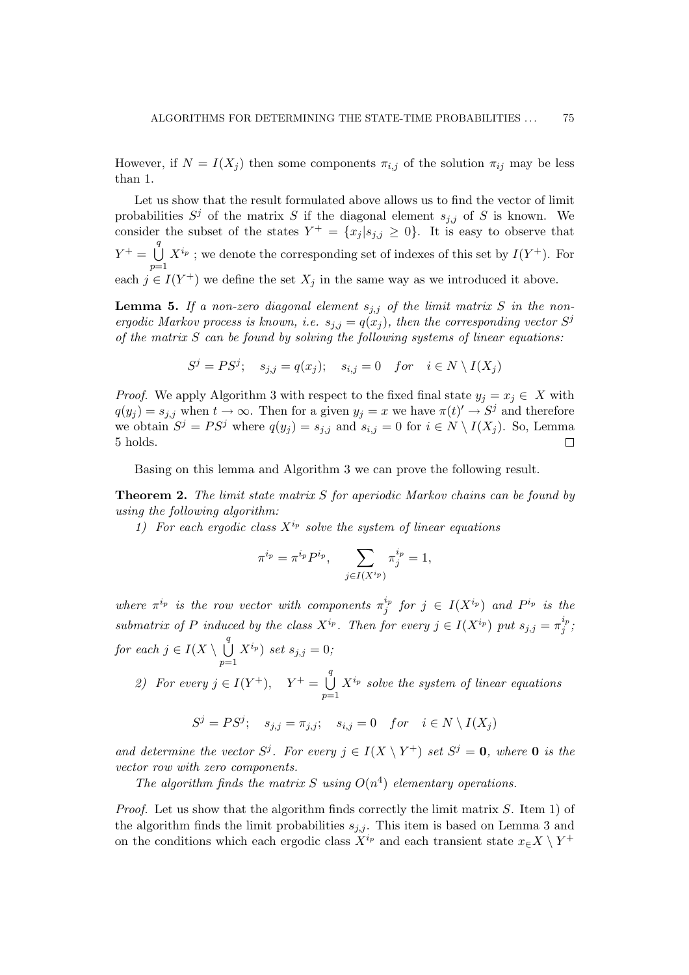However, if  $N = I(X_i)$  then some components  $\pi_{i,j}$  of the solution  $\pi_{ij}$  may be less than 1.

Let us show that the result formulated above allows us to find the vector of limit probabilities  $S^j$  of the matrix S if the diagonal element  $s_{j,j}$  of S is known. We consider the subset of the states  $Y^+ = \{x_j | s_{j,j} \geq 0\}$ . It is easy to observe that  $Y^+ = \bigcup^{q}$  $p=1$  $X^{i_p}$ ; we denote the corresponding set of indexes of this set by  $I(Y^+)$ . For each  $j \in I(Y^+)$  we define the set  $X_j$  in the same way as we introduced it above.

**Lemma 5.** If a non-zero diagonal element  $s_{j,j}$  of the limit matrix S in the nonergodic Markov process is known, i.e.  $s_{j,j} = q(x_j)$ , then the corresponding vector  $S^j$ of the matrix  $S$  can be found by solving the following systems of linear equations:

$$
S^j = PS^j; \quad s_{j,j} = q(x_j); \quad s_{i,j} = 0 \quad for \quad i \in N \setminus I(X_j)
$$

*Proof.* We apply Algorithm 3 with respect to the fixed final state  $y_j = x_j \in X$  with  $q(y_j) = s_{j,j}$  when  $t \to \infty$ . Then for a given  $y_j = x$  we have  $\pi(t)' \to S^j$  and therefore we obtain  $S^j = PS^j$  where  $q(y_j) = s_{j,j}$  and  $s_{i,j} = 0$  for  $i \in N \setminus I(X_j)$ . So, Lemma 5 holds.  $\Box$ 

Basing on this lemma and Algorithm 3 we can prove the following result.

**Theorem 2.** The limit state matrix S for aperiodic Markov chains can be found by using the following algorithm:

1) For each ergodic class  $X^{i_p}$  solve the system of linear equations

$$
\pi^{i_p} = \pi^{i_p} P^{i_p}, \quad \sum_{j \in I(X^{i_p})} \pi_j^{i_p} = 1,
$$

where  $\pi^{i_p}$  is the row vector with components  $\pi^{i_p}_i$  $j^{\iota_p}$  for  $j \in I(X^{i_p})$  and  $P^{i_p}$  is the submatrix of P induced by the class  $X^{i_p}$ . Then for every  $j \in I(X^{i_p})$  put  $s_{j,j} = \pi_j^{i_p}$  $\frac{i_p}{j};$ for each  $j \in I(X \setminus$  $\frac{q}{\cdot}$  $p=1$  $X^{i_p}$ ) set  $s_{j,j} = 0$ ;

2) For every  $j \in I(Y^+)$ ,  $Y^+ = \bigcup^q$  $p=1$  $X^{i_p}$  solve the system of linear equations

$$
S^j = PS^j; \quad s_{j,j} = \pi_{j,j}; \quad s_{i,j} = 0 \quad for \quad i \in N \setminus I(X_j)
$$

and determine the vector  $S^j$ . For every  $j \in I(X \setminus Y^+)$  set  $S^j = 0$ , where 0 is the vector row with zero components.

The algorithm finds the matrix S using  $O(n^4)$  elementary operations.

*Proof.* Let us show that the algorithm finds correctly the limit matrix  $S$ . Item 1) of the algorithm finds the limit probabilities  $s_{i,j}$ . This item is based on Lemma 3 and on the conditions which each ergodic class  $\widetilde{X}^{i_p}$  and each transient state  $x \in X \setminus Y^+$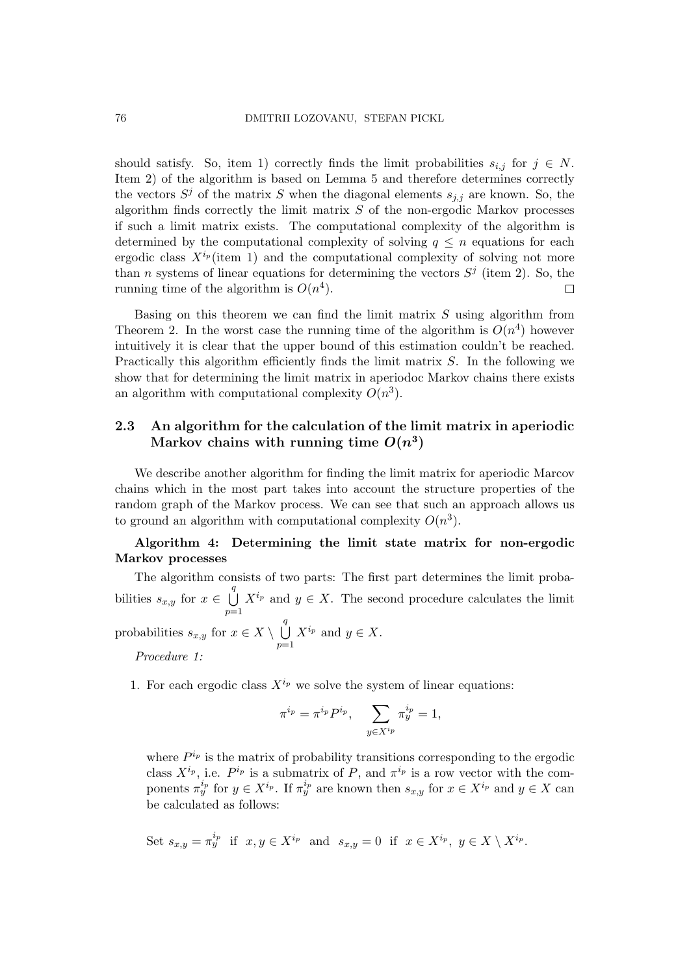should satisfy. So, item 1) correctly finds the limit probabilities  $s_{i,j}$  for  $j \in N$ . Item 2) of the algorithm is based on Lemma 5 and therefore determines correctly the vectors  $S^j$  of the matrix S when the diagonal elements  $s_{j,j}$  are known. So, the algorithm finds correctly the limit matrix  $S$  of the non-ergodic Markov processes if such a limit matrix exists. The computational complexity of the algorithm is determined by the computational complexity of solving  $q \leq n$  equations for each ergodic class  $X^{i_p}$  (item 1) and the computational complexity of solving not more than *n* systems of linear equations for determining the vectors  $S^j$  (item 2). So, the running time of the algorithm is  $O(n^4)$ .  $\Box$ 

Basing on this theorem we can find the limit matrix  $S$  using algorithm from Theorem 2. In the worst case the running time of the algorithm is  $O(n^4)$  however intuitively it is clear that the upper bound of this estimation couldn't be reached. Practically this algorithm efficiently finds the limit matrix  $S$ . In the following we show that for determining the limit matrix in aperiodoc Markov chains there exists an algorithm with computational complexity  $O(n^3)$ .

# 2.3 An algorithm for the calculation of the limit matrix in aperiodic Markov chains with running time  $O(n^3)$

We describe another algorithm for finding the limit matrix for aperiodic Marcov chains which in the most part takes into account the structure properties of the random graph of the Markov process. We can see that such an approach allows us to ground an algorithm with computational complexity  $O(n^3)$ .

Algorithm 4: Determining the limit state matrix for non-ergodic Markov processes

The algorithm consists of two parts: The first part determines the limit probabilities  $s_{x,y}$  for  $x \in$  $\frac{q}{\cdot}$  $p=1$  $X^{i_p}$  and  $y \in X$ . The second procedure calculates the limit probabilities  $s_{x,y}$  for  $x \in X \setminus$  $\frac{q}{\cdot}$  $p=1$  $X^{i_p}$  and  $y \in X$ .

Procedure 1:

1. For each ergodic class  $X^{i_p}$  we solve the system of linear equations:

$$
\pi^{i_p} = \pi^{i_p} P^{i_p}, \quad \sum_{y \in X^{i_p}} \pi^{i_p}_y = 1,
$$

where  $P^{i_p}$  is the matrix of probability transitions corresponding to the ergodic class  $X^{i_p}$ , i.e.  $P^{i_p}$  is a submatrix of P, and  $\pi^{i_p}$  is a row vector with the components  $\pi_y^{i_p}$  for  $y \in X^{i_p}$ . If  $\pi_y^{i_p}$  are known then  $s_{x,y}$  for  $x \in X^{i_p}$  and  $y \in X$  can be calculated as follows:

Set 
$$
s_{x,y} = \pi_y^{i_p}
$$
 if  $x, y \in X^{i_p}$  and  $s_{x,y} = 0$  if  $x \in X^{i_p}$ ,  $y \in X \setminus X^{i_p}$ .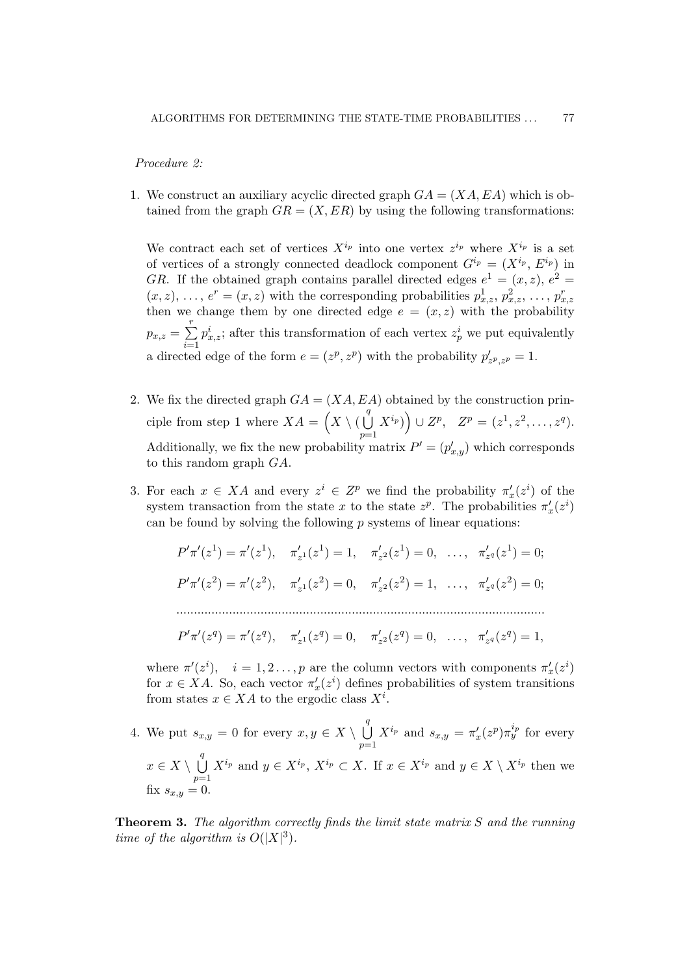#### Procedure 2:

1. We construct an auxiliary acyclic directed graph  $GA = (XA, EA)$  which is obtained from the graph  $GR = (X, ER)$  by using the following transformations:

We contract each set of vertices  $X^{i_p}$  into one vertex  $z^{i_p}$  where  $X^{i_p}$  is a set of vertices of a strongly connected deadlock component  $G^{i_p} = (X^{i_p}, E^{i_p})$  in GR. If the obtained graph contains parallel directed edges  $e^1 = (x, z)$ ,  $e^2 =$  $(x, z), \ldots, e^r = (x, z)$  with the corresponding probabilities  $p_{x,z}^1, p_{x,z}^2, \ldots, p_{x,z}^r$ then we change them by one directed edge  $e = (x, z)$  with the probability  $p_{x,z} =$  $\frac{r}{\sqrt{r}}$  $i=1$  $p_{x,z}^i$ ; after this transformation of each vertex  $z_p^i$  we put equivalently a directed edge of the form  $e = (z^p, z^p)$  with the probability  $p'_{z^p, z^p} = 1$ .

- 2. We fix the directed graph  $GA = (XA, EA)$  obtained by the construction principle from step 1 where  $XA =$  $\frac{1}{2}$  $X \setminus ($  $\frac{q}{\cdot}$  $p=1$  $X^{i_p}$  $\tilde{\zeta}$  $\cup Z^p$ ,  $Z^p = (z^1, z^2, \dots, z^q)$ . Additionally, we fix the new probability matrix  $P' = (p'_{x,y})$  which corresponds to this random graph GA.
- 3. For each  $x \in XA$  and every  $z^i \in Z^p$  we find the probability  $\pi'_x(z^i)$  of the system transaction from the state x to the state  $z^p$ . The probabilities  $\pi'_x(z^i)$ can be found by solving the following  $p$  systems of linear equations:

$$
P'\pi'(z^1) = \pi'(z^1), \quad \pi'_{z^1}(z^1) = 1, \quad \pi'_{z^2}(z^1) = 0, \quad \dots, \quad \pi'_{z^q}(z^1) = 0;
$$
  

$$
P'\pi'(z^2) = \pi'(z^2), \quad \pi'_{z^1}(z^2) = 0, \quad \pi'_{z^2}(z^2) = 1, \quad \dots, \quad \pi'_{z^q}(z^2) = 0;
$$
  
........  

$$
P'\pi'(z^q) = \pi'(z^q), \quad \pi'_{z^1}(z^q) = 0, \quad \pi'_{z^2}(z^q) = 0, \quad \dots, \quad \pi'_{z^q}(z^q) = 1,
$$

where  $\pi'(z^i)$ ,  $i = 1, 2, ..., p$  are the column vectors with components  $\pi'_x(z^i)$ for  $x \in XA$ . So, each vector  $\pi'_x(z^i)$  defines probabilities of system transitions from states  $x \in XA$  to the ergodic class  $X^i$ .

4. We put  $s_{x,y} = 0$  for every  $x, y \in X \setminus$  $\frac{q}{\cdot}$  $p=1$  $X^{i_p}$  and  $s_{x,y} = \pi'_x(z^p)\pi_y^{i_p}$  for every  $x \in X \setminus$  $\frac{q}{\cdot}$  $p=1$  $X^{i_p}$  and  $y \in X^{i_p}$ ,  $X^{i_p} \subset X$ . If  $x \in X^{i_p}$  and  $y \in X \setminus X^{i_p}$  then we fix  $s_{x,y}=0$ .

**Theorem 3.** The algorithm correctly finds the limit state matrix S and the running time of the algorithm is  $O(|X|^3)$ .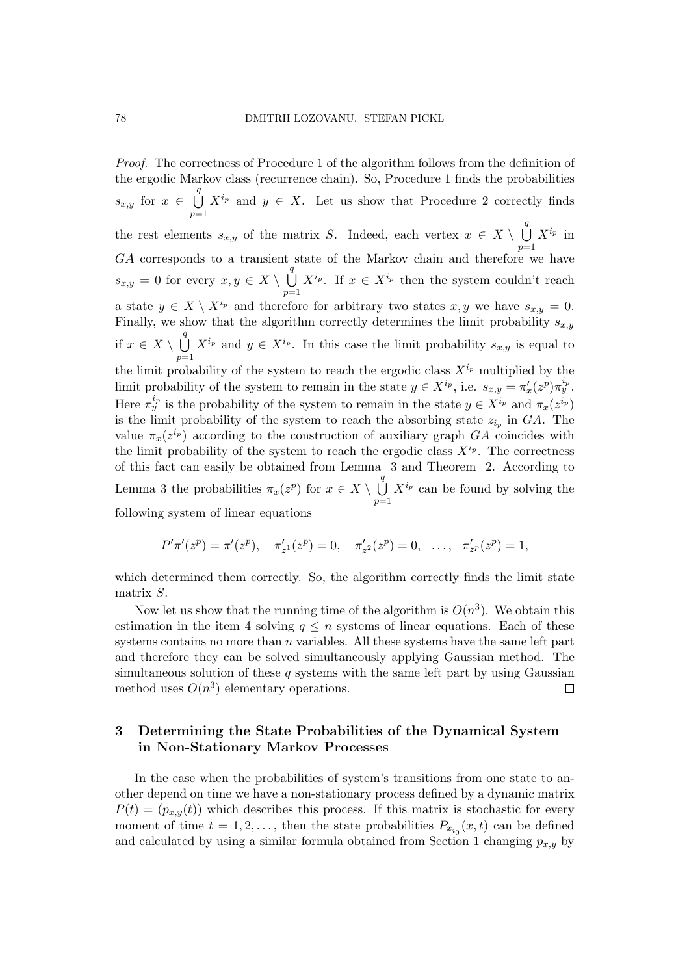Proof. The correctness of Procedure 1 of the algorithm follows from the definition of the ergodic Markov class (recurrence chain). So, Procedure 1 finds the probabilities  $s_{x,y}$  for  $x \in$  $\frac{q}{\cdot}$  $p=1$  $X^{i_p}$  and  $y \in X$ . Let us show that Procedure 2 correctly finds the rest elements  $s_{x,y}$  of the matrix S. Indeed, each vertex  $x \in X \setminus$  $\frac{q}{\cdot}$  $p=1$  $X^{i_p}$  in GA corresponds to a transient state of the Markov chain and therefore we have  $s_{x,y} = 0$  for every  $x, y \in X \setminus$  $\frac{q}{\cdot}$  $p=1$  $X^{i_p}$ . If  $x \in X^{i_p}$  then the system couldn't reach a state  $y \in X \setminus X^{i_p}$  and therefore for arbitrary two states  $x, y$  we have  $s_{x,y} = 0$ . Finally, we show that the algorithm correctly determines the limit probability  $s_{x,y}$ if  $x \in X \setminus$  $\frac{q}{\cdot}$  $p=1$  $X^{i_p}$  and  $y \in X^{i_p}$ . In this case the limit probability  $s_{x,y}$  is equal to the limit probability of the system to reach the ergodic class  $X^{i_p}$  multiplied by the limit probability of the system to remain in the state  $y \in X^{i_p}$ , i.e.  $s_{x,y} = \pi'_x(z^p) \pi^{i_p}_y$ . Here  $\pi_y^{i_p}$  is the probability of the system to remain in the state  $y \in X^{i_p}$  and  $\pi_x(z^{i_p})$ is the limit probability of the system to reach the absorbing state  $z_{i_p}$  in  $GA$ . The value  $\pi_x(z^{i_p})$  according to the construction of auxiliary graph  $GA$  coincides with the limit probability of the system to reach the ergodic class  $X^{i_p}$ . The correctness of this fact can easily be obtained from Lemma 3 and Theorem 2. According to Lemma 3 the probabilities  $\pi_x(z^p)$  for  $x \in X \setminus$  $\frac{q}{\cdot}$  $p=1$  $X^{i_p}$  can be found by solving the following system of linear equations

$$
P'\pi'(z^p) = \pi'(z^p), \quad \pi'_{z^1}(z^p) = 0, \quad \pi'_{z^2}(z^p) = 0, \quad \dots, \quad \pi'_{z^p}(z^p) = 1,
$$

which determined them correctly. So, the algorithm correctly finds the limit state matrix S.

Now let us show that the running time of the algorithm is  $O(n^3)$ . We obtain this estimation in the item 4 solving  $q \leq n$  systems of linear equations. Each of these systems contains no more than  $n$  variables. All these systems have the same left part and therefore they can be solved simultaneously applying Gaussian method. The simultaneous solution of these  $q$  systems with the same left part by using Gaussian method uses  $O(n^3)$  elementary operations.  $\Box$ 

# 3 Determining the State Probabilities of the Dynamical System in Non-Stationary Markov Processes

In the case when the probabilities of system's transitions from one state to another depend on time we have a non-stationary process defined by a dynamic matrix  $P(t) = (p_{x,y}(t))$  which describes this process. If this matrix is stochastic for every moment of time  $t = 1, 2, \ldots$ , then the state probabilities  $P_{x_{i_0}}(x, t)$  can be defined and calculated by using a similar formula obtained from Section 1 changing  $p_{x,y}$  by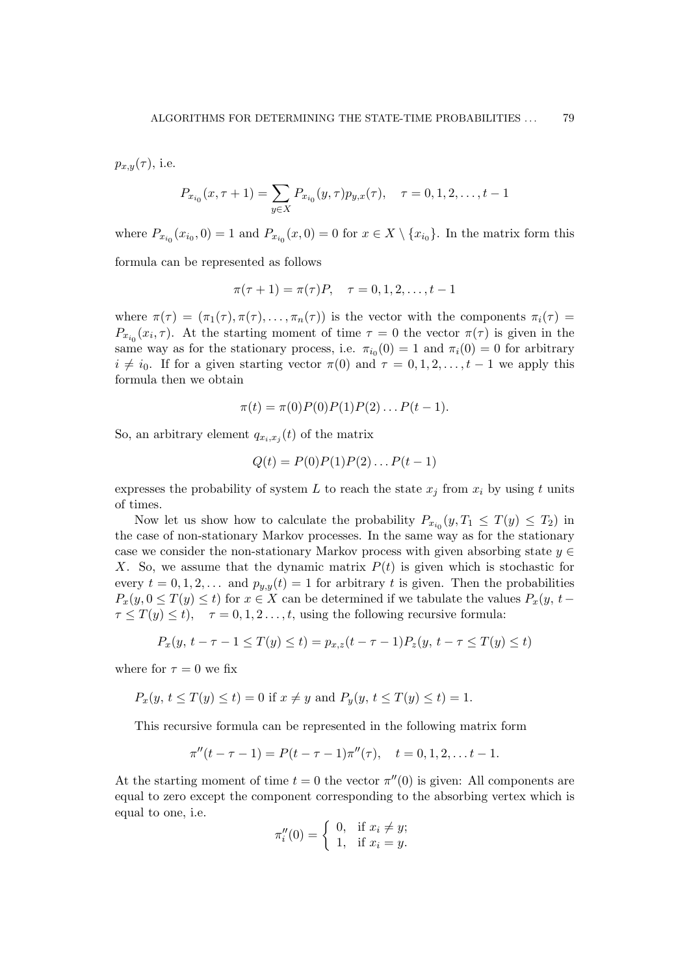$p_{x,y}(\tau)$ , i.e.

$$
P_{x_{i_0}}(x,\tau+1) = \sum_{y \in X} P_{x_{i_0}}(y,\tau) p_{y,x}(\tau), \quad \tau = 0, 1, 2, \dots, t-1
$$

where  $P_{x_{i_0}}(x_{i_0},0) = 1$  and  $P_{x_{i_0}}(x,0) = 0$  for  $x \in X \setminus \{x_{i_0}\}.$  In the matrix form this

formula can be represented as follows

$$
\pi(\tau + 1) = \pi(\tau)P, \quad \tau = 0, 1, 2, \dots, t - 1
$$

where  $\pi(\tau) = (\pi_1(\tau), \pi(\tau), \ldots, \pi_n(\tau))$  is the vector with the components  $\pi_i(\tau) =$  $P_{x_{i_0}}(x_i, \tau)$ . At the starting moment of time  $\tau = 0$  the vector  $\pi(\tau)$  is given in the same way as for the stationary process, i.e.  $\pi_{i_0}(0) = 1$  and  $\pi_i(0) = 0$  for arbitrary  $i \neq i_0$ . If for a given starting vector  $\pi(0)$  and  $\tau = 0, 1, 2, \ldots, t - 1$  we apply this formula then we obtain

$$
\pi(t) = \pi(0)P(0)P(1)P(2)...P(t-1).
$$

So, an arbitrary element  $q_{x_i,x_j}(t)$  of the matrix

$$
Q(t) = P(0)P(1)P(2)...P(t-1)
$$

expresses the probability of system L to reach the state  $x_j$  from  $x_i$  by using t units of times.

Now let us show how to calculate the probability  $P_{x_{i_0}}(y,T_1 \leq T(y) \leq T_2)$  in the case of non-stationary Markov processes. In the same way as for the stationary case we consider the non-stationary Markov process with given absorbing state  $y \in$ X. So, we assume that the dynamic matrix  $P(t)$  is given which is stochastic for every  $t = 0, 1, 2, \ldots$  and  $p_{y,y}(t) = 1$  for arbitrary t is given. Then the probabilities  $P_x(y, 0 \leq T(y) \leq t)$  for  $x \in X$  can be determined if we tabulate the values  $P_x(y, t \tau \leq T(y) \leq t$ ,  $\tau = 0, 1, 2, \ldots, t$ , using the following recursive formula:

$$
P_x(y, t - \tau - 1 \le T(y) \le t) = p_{x,z}(t - \tau - 1)P_z(y, t - \tau \le T(y) \le t)
$$

where for  $\tau = 0$  we fix

$$
P_x(y, t \le T(y) \le t) = 0
$$
 if  $x \ne y$  and  $P_y(y, t \le T(y) \le t) = 1$ 

This recursive formula can be represented in the following matrix form

$$
\pi''(t-\tau-1) = P(t-\tau-1)\pi''(\tau), \quad t = 0, 1, 2, \dots t-1.
$$

At the starting moment of time  $t = 0$  the vector  $\pi''(0)$  is given: All components are equal to zero except the component corresponding to the absorbing vertex which is equal to one, i.e.

$$
\pi_i''(0) = \begin{cases} 0, & \text{if } x_i \neq y; \\ 1, & \text{if } x_i = y. \end{cases}
$$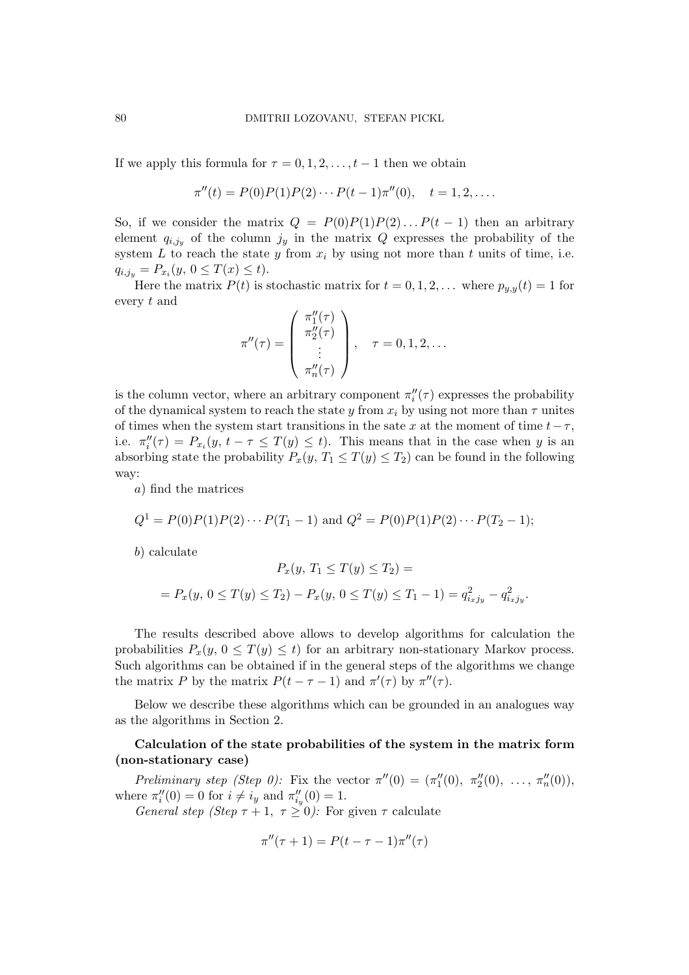If we apply this formula for  $\tau = 0, 1, 2, \ldots, t-1$  then we obtain

$$
\pi''(t) = P(0)P(1)P(2)\cdots P(t-1)\pi''(0), \quad t = 1, 2, \ldots.
$$

So, if we consider the matrix  $Q = P(0)P(1)P(2)...P(t-1)$  then an arbitrary element  $q_{i,j_y}$  of the column  $j_y$  in the matrix Q expresses the probability of the system L to reach the state y from  $x_i$  by using not more than t units of time, i.e.  $q_{i,j_y} = P_{x_i}(y, 0 \leq T(x) \leq t).$ 

Here the matrix  $P(t)$  is stochastic matrix for  $t = 0, 1, 2, \ldots$  where  $p_{y,y}(t) = 1$  for every t and  $\overline{1}$  $\mathbf{r}$ 

$$
\pi''(\tau) = \begin{pmatrix} \pi_1''(\tau) \\ \pi_2''(\tau) \\ \vdots \\ \pi_n''(\tau) \end{pmatrix}, \quad \tau = 0, 1, 2, \dots
$$

is the column vector, where an arbitrary component  $\pi''_i(\tau)$  expresses the probability of the dynamical system to reach the state y from  $x_i$  by using not more than  $\tau$  unites of times when the system start transitions in the sate x at the moment of time  $t-\tau$ , i.e.  $\pi''_i(\tau) = P_{x_i}(y, t - \tau \leq T(y) \leq t)$ . This means that in the case when y is an absorbing state the probability  $P_x(y, T_1 \leq T(y) \leq T_2)$  can be found in the following way:

a) find the matrices

$$
Q^{1} = P(0)P(1)P(2) \cdots P(T_1 - 1) \text{ and } Q^{2} = P(0)P(1)P(2) \cdots P(T_2 - 1);
$$

b) calculate

$$
P_x(y, T_1 \le T(y) \le T_2) =
$$
  
=  $P_x(y, 0 \le T(y) \le T_2) - P_x(y, 0 \le T(y) \le T_1 - 1) = q_{i_x j_y}^2 - q_{i_x j_y}^2$ .

The results described above allows to develop algorithms for calculation the probabilities  $P_x(y, 0 \leq T(y) \leq t)$  for an arbitrary non-stationary Markov process. Such algorithms can be obtained if in the general steps of the algorithms we change the matrix P by the matrix  $P(t - \tau - 1)$  and  $\pi'(\tau)$  by  $\pi''(\tau)$ .

Below we describe these algorithms which can be grounded in an analogues way as the algorithms in Section 2.

# Calculation of the state probabilities of the system in the matrix form (non-stationary case)

Preliminary step (Step 0): Fix the vector  $\pi''(0) = (\pi''_1(0), \pi''_2(0), \ldots, \pi''_n(0)),$ where  $\pi''_i(0) = 0$  for  $i \neq i_y$  and  $\pi''_{i_y}(0) = 1$ .

General step (Step  $\tau + 1$ ,  $\tau \geq 0$ ): For given  $\tau$  calculate

$$
\pi''(\tau+1) = P(t-\tau-1)\pi''(\tau)
$$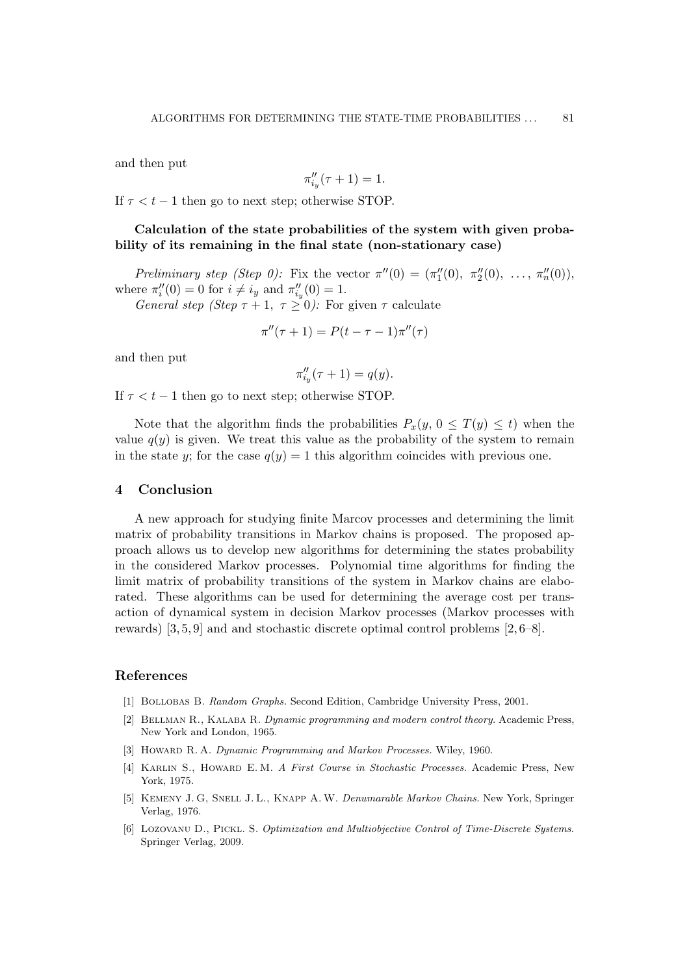and then put

$$
\pi_{i_y}''(\tau+1) = 1.
$$

If  $\tau < t - 1$  then go to next step; otherwise STOP.

Calculation of the state probabilities of the system with given probability of its remaining in the final state (non-stationary case)

Preliminary step (Step 0): Fix the vector  $\pi''(0) = (\pi''_1(0), \pi''_2(0), \ldots, \pi''_n(0)),$ where  $\pi''_i(0) = 0$  for  $i \neq i_y$  and  $\pi''_{i_y}(0) = 1$ .

General step (Step  $\tau + 1$ ,  $\tau \geq 0$ ): For given  $\tau$  calculate

$$
\pi''(\tau+1) = P(t-\tau-1)\pi''(\tau)
$$

and then put

$$
\pi_{i_y}''(\tau+1) = q(y).
$$

If  $\tau < t - 1$  then go to next step; otherwise STOP.

Note that the algorithm finds the probabilities  $P_x(y, 0 \leq T(y) \leq t)$  when the value  $q(y)$  is given. We treat this value as the probability of the system to remain in the state y; for the case  $q(y) = 1$  this algorithm coincides with previous one.

### 4 Conclusion

A new approach for studying finite Marcov processes and determining the limit matrix of probability transitions in Markov chains is proposed. The proposed approach allows us to develop new algorithms for determining the states probability in the considered Markov processes. Polynomial time algorithms for finding the limit matrix of probability transitions of the system in Markov chains are elaborated. These algorithms can be used for determining the average cost per transaction of dynamical system in decision Markov processes (Markov processes with rewards) [3, 5, 9] and and stochastic discrete optimal control problems [2, 6–8].

### References

- [1] Bollobas B. Random Graphs. Second Edition, Cambridge University Press, 2001.
- [2] Bellman R., Kalaba R. Dynamic programming and modern control theory. Academic Press, New York and London, 1965.
- [3] HOWARD R. A. Dynamic Programming and Markov Processes. Wiley, 1960.
- [4] Karlin S., Howard E. M. A First Course in Stochastic Processes. Academic Press, New York, 1975.
- [5] KEMENY J. G, SNELL J. L., KNAPP A. W. Denumarable Markov Chains. New York, Springer Verlag, 1976.
- [6] Lozovanu D., Pickl. S. Optimization and Multiobjective Control of Time-Discrete Systems. Springer Verlag, 2009.